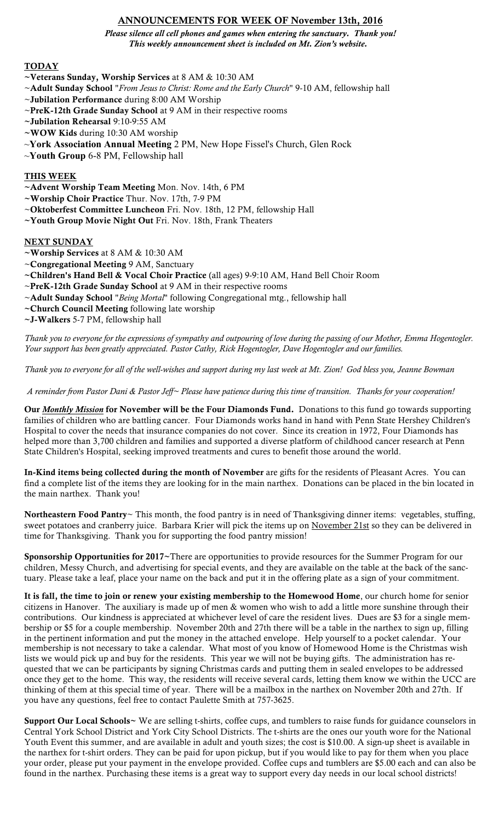# ANNOUNCEMENTS FOR WEEK OF November 13th, 2016

*Please silence all cell phones and games when entering the sanctuary. Thank you! This weekly announcement sheet is included on Mt. Zion's website.*

## **TODAY**

- ~Veterans Sunday, Worship Services at 8 AM & 10:30 AM
- ~Adult Sunday School "*From Jesus to Christ: Rome and the Early Church*" 9-10 AM, fellowship hall
- ~Jubilation Performance during 8:00 AM Worship
- ~PreK-12th Grade Sunday School at 9 AM in their respective rooms
- ~Jubilation Rehearsal 9:10-9:55 AM
- ~WOW Kids during 10:30 AM worship
- ~**York Association Annual Meeting** 2 PM, New Hope Fissel's Church, Glen Rock
- ~**Youth Group** 6-8 PM, Fellowship hall

### THIS WEEK

- ~Advent Worship Team Meeting Mon. Nov. 14th, 6 PM
- ~Worship Choir Practice Thur. Nov. 17th, 7-9 PM
- ~Oktoberfest Committee Luncheon Fri. Nov. 18th, 12 PM, fellowship Hall
- ~Youth Group Movie Night Out Fri. Nov. 18th, Frank Theaters

#### **NEXT SUNDAY**

- ~Worship Services at 8 AM & 10:30 AM
- ~Congregational Meeting 9 AM, Sanctuary
- ~Children's Hand Bell & Vocal Choir Practice (all ages) 9-9:10 AM, Hand Bell Choir Room
- ~PreK-12th Grade Sunday School at 9 AM in their respective rooms
- ~Adult Sunday School "*Being Mortal*" following Congregational mtg., fellowship hall
- ~Church Council Meeting following late worship
- ~J-Walkers 5-7 PM, fellowship hall

*Thank you to everyone for the expressions of sympathy and outpouring of love during the passing of our Mother, Emma Hogentogler. Your support has been greatly appreciated. Pastor Cathy, Rick Hogentogler, Dave Hogentogler and our families.*

*Thank you to everyone for all of the well-wishes and support during my last week at Mt. Zion! God bless you, Jeanne Bowman*

*A reminder from Pastor Dani & Pastor Jeff~ Please have patience during this time of transition. Thanks for your cooperation!*

Our *Monthly Mission* for November will be the Four Diamonds Fund. Donations to this fund go towards supporting families of children who are battling cancer. Four Diamonds works hand in hand with Penn State Hershey Children's Hospital to cover the needs that insurance companies do not cover. Since its creation in 1972, Four Diamonds has helped more than 3,700 children and families and supported a diverse platform of childhood cancer research at Penn State Children's Hospital, seeking improved treatments and cures to benefit those around the world.

In-Kind items being collected during the month of November are gifts for the residents of Pleasant Acres. You can find a complete list of the items they are looking for in the main narthex. Donations can be placed in the bin located in the main narthex. Thank you!

Northeastern Food Pantry~ This month, the food pantry is in need of Thanksgiving dinner items: vegetables, stuffing, sweet potatoes and cranberry juice. Barbara Krier will pick the items up on November 21st so they can be delivered in time for Thanksgiving. Thank you for supporting the food pantry mission!

Sponsorship Opportunities for 2017~There are opportunities to provide resources for the Summer Program for our children, Messy Church, and advertising for special events, and they are available on the table at the back of the sanctuary. Please take a leaf, place your name on the back and put it in the offering plate as a sign of your commitment.

It is fall, the time to join or renew your existing membership to the Homewood Home, our church home for senior citizens in Hanover. The auxiliary is made up of men & women who wish to add a little more sunshine through their contributions. Our kindness is appreciated at whichever level of care the resident lives. Dues are \$3 for a single membership or \$5 for a couple membership. November 20th and 27th there will be a table in the narthex to sign up, filling in the pertinent information and put the money in the attached envelope. Help yourself to a pocket calendar. Your membership is not necessary to take a calendar. What most of you know of Homewood Home is the Christmas wish lists we would pick up and buy for the residents. This year we will not be buying gifts. The administration has requested that we can be participants by signing Christmas cards and putting them in sealed envelopes to be addressed once they get to the home. This way, the residents will receive several cards, letting them know we within the UCC are thinking of them at this special time of year. There will be a mailbox in the narthex on November 20th and 27th. If you have any questions, feel free to contact Paulette Smith at 757-3625.

Support Our Local Schools~ We are selling t-shirts, coffee cups, and tumblers to raise funds for guidance counselors in Central York School District and York City School Districts. The t-shirts are the ones our youth wore for the National Youth Event this summer, and are available in adult and youth sizes; the cost is \$10.00. A sign-up sheet is available in the narthex for t-shirt orders. They can be paid for upon pickup, but if you would like to pay for them when you place your order, please put your payment in the envelope provided. Coffee cups and tumblers are \$5.00 each and can also be found in the narthex. Purchasing these items is a great way to support every day needs in our local school districts!